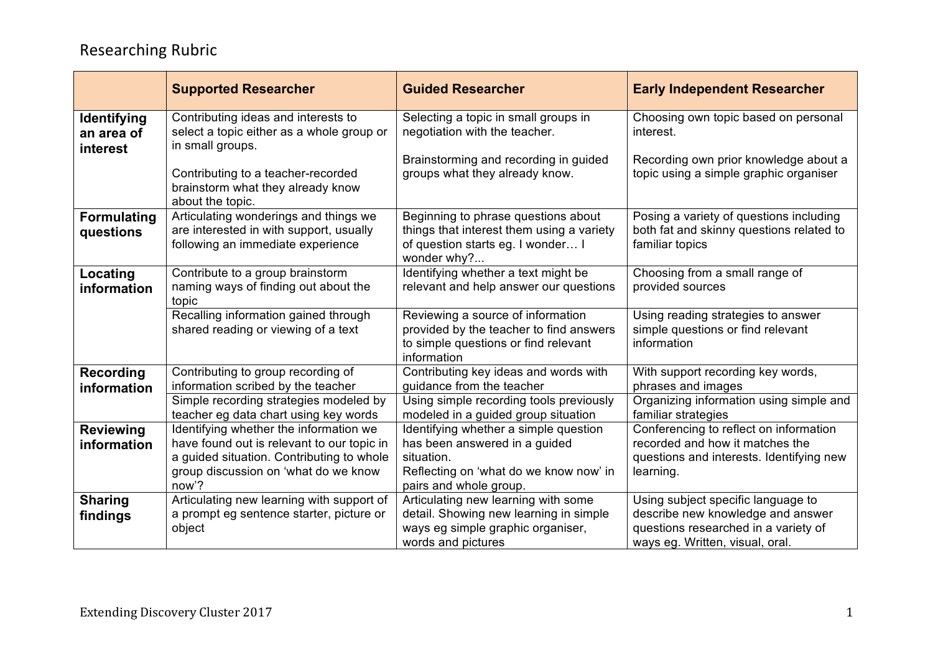|                                       | <b>Supported Researcher</b>                                                                                                                                                        | <b>Guided Researcher</b>                                                                                                                                 | <b>Early Independent Researcher</b>                                                                                                                |
|---------------------------------------|------------------------------------------------------------------------------------------------------------------------------------------------------------------------------------|----------------------------------------------------------------------------------------------------------------------------------------------------------|----------------------------------------------------------------------------------------------------------------------------------------------------|
| Identifying<br>an area of<br>interest | Contributing ideas and interests to<br>select a topic either as a whole group or<br>in small groups.<br>Contributing to a teacher-recorded                                         | Selecting a topic in small groups in<br>negotiation with the teacher.<br>Brainstorming and recording in guided<br>groups what they already know.         | Choosing own topic based on personal<br>interest.<br>Recording own prior knowledge about a<br>topic using a simple graphic organiser               |
|                                       | brainstorm what they already know<br>about the topic.                                                                                                                              |                                                                                                                                                          |                                                                                                                                                    |
| <b>Formulating</b><br>questions       | Articulating wonderings and things we<br>are interested in with support, usually<br>following an immediate experience                                                              | Beginning to phrase questions about<br>things that interest them using a variety<br>of question starts eg. I wonder I<br>wonder why?                     | Posing a variety of questions including<br>both fat and skinny questions related to<br>familiar topics                                             |
| Locating<br>information               | Contribute to a group brainstorm<br>naming ways of finding out about the<br>topic                                                                                                  | Identifying whether a text might be<br>relevant and help answer our questions                                                                            | Choosing from a small range of<br>provided sources                                                                                                 |
|                                       | Recalling information gained through<br>shared reading or viewing of a text                                                                                                        | Reviewing a source of information<br>provided by the teacher to find answers<br>to simple questions or find relevant<br>information                      | Using reading strategies to answer<br>simple questions or find relevant<br>information                                                             |
| <b>Recording</b><br>information       | Contributing to group recording of<br>information scribed by the teacher                                                                                                           | Contributing key ideas and words with<br>guidance from the teacher                                                                                       | With support recording key words,<br>phrases and images                                                                                            |
|                                       | Simple recording strategies modeled by<br>teacher eg data chart using key words                                                                                                    | Using simple recording tools previously<br>modeled in a guided group situation                                                                           | Organizing information using simple and<br>familiar strategies                                                                                     |
| <b>Reviewing</b><br>information       | Identifying whether the information we<br>have found out is relevant to our topic in<br>a guided situation. Contributing to whole<br>group discussion on 'what do we know<br>now'? | Identifying whether a simple question<br>has been answered in a guided<br>situation.<br>Reflecting on 'what do we know now' in<br>pairs and whole group. | Conferencing to reflect on information<br>recorded and how it matches the<br>questions and interests. Identifying new<br>learning.                 |
| <b>Sharing</b><br>findings            | Articulating new learning with support of<br>a prompt eg sentence starter, picture or<br>object                                                                                    | Articulating new learning with some<br>detail. Showing new learning in simple<br>ways eg simple graphic organiser,<br>words and pictures                 | Using subject specific language to<br>describe new knowledge and answer<br>questions researched in a variety of<br>ways eg. Written, visual, oral. |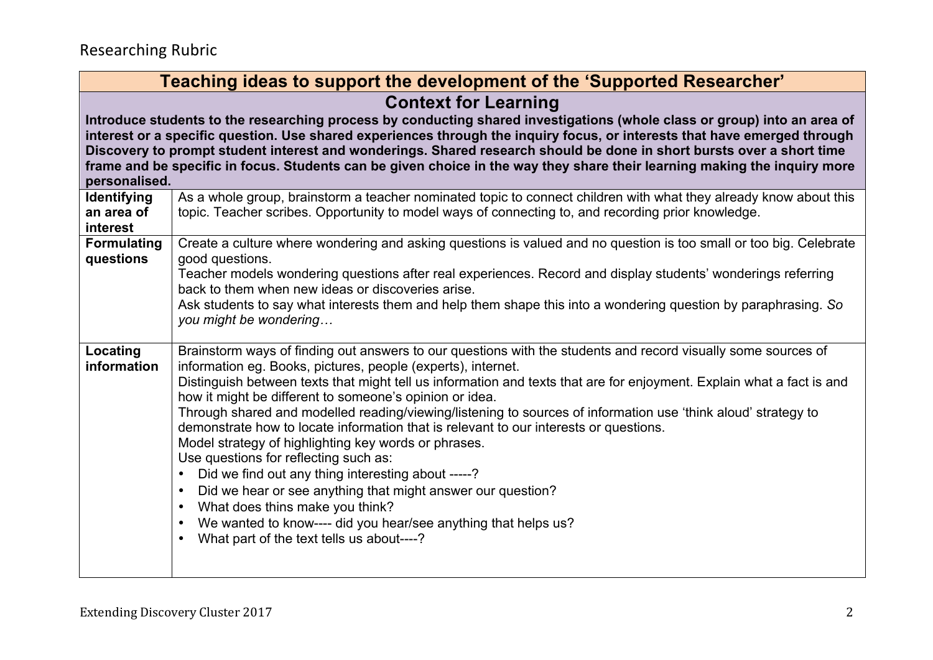| Teaching ideas to support the development of the 'Supported Researcher'                                                                                                                                                                                                                                                                                                                                                                                                                                                                                     |                                                                                                                                                                                                                                                                                                                                                                                                                                                                                                                                                                                                                                                                                                                                                                                                                                                                                                                                                                                                         |  |
|-------------------------------------------------------------------------------------------------------------------------------------------------------------------------------------------------------------------------------------------------------------------------------------------------------------------------------------------------------------------------------------------------------------------------------------------------------------------------------------------------------------------------------------------------------------|---------------------------------------------------------------------------------------------------------------------------------------------------------------------------------------------------------------------------------------------------------------------------------------------------------------------------------------------------------------------------------------------------------------------------------------------------------------------------------------------------------------------------------------------------------------------------------------------------------------------------------------------------------------------------------------------------------------------------------------------------------------------------------------------------------------------------------------------------------------------------------------------------------------------------------------------------------------------------------------------------------|--|
| <b>Context for Learning</b><br>Introduce students to the researching process by conducting shared investigations (whole class or group) into an area of<br>interest or a specific question. Use shared experiences through the inquiry focus, or interests that have emerged through<br>Discovery to prompt student interest and wonderings. Shared research should be done in short bursts over a short time<br>frame and be specific in focus. Students can be given choice in the way they share their learning making the inquiry more<br>personalised. |                                                                                                                                                                                                                                                                                                                                                                                                                                                                                                                                                                                                                                                                                                                                                                                                                                                                                                                                                                                                         |  |
| Identifying<br>an area of<br>interest                                                                                                                                                                                                                                                                                                                                                                                                                                                                                                                       | As a whole group, brainstorm a teacher nominated topic to connect children with what they already know about this<br>topic. Teacher scribes. Opportunity to model ways of connecting to, and recording prior knowledge.                                                                                                                                                                                                                                                                                                                                                                                                                                                                                                                                                                                                                                                                                                                                                                                 |  |
| <b>Formulating</b><br>questions                                                                                                                                                                                                                                                                                                                                                                                                                                                                                                                             | Create a culture where wondering and asking questions is valued and no question is too small or too big. Celebrate<br>good questions.<br>Teacher models wondering questions after real experiences. Record and display students' wonderings referring<br>back to them when new ideas or discoveries arise.<br>Ask students to say what interests them and help them shape this into a wondering question by paraphrasing. So<br>you might be wondering                                                                                                                                                                                                                                                                                                                                                                                                                                                                                                                                                  |  |
| Locating<br>information                                                                                                                                                                                                                                                                                                                                                                                                                                                                                                                                     | Brainstorm ways of finding out answers to our questions with the students and record visually some sources of<br>information eg. Books, pictures, people (experts), internet.<br>Distinguish between texts that might tell us information and texts that are for enjoyment. Explain what a fact is and<br>how it might be different to someone's opinion or idea.<br>Through shared and modelled reading/viewing/listening to sources of information use 'think aloud' strategy to<br>demonstrate how to locate information that is relevant to our interests or questions.<br>Model strategy of highlighting key words or phrases.<br>Use questions for reflecting such as:<br>Did we find out any thing interesting about -----?<br>$\bullet$<br>Did we hear or see anything that might answer our question?<br>$\bullet$<br>What does thins make you think?<br>$\bullet$<br>We wanted to know---- did you hear/see anything that helps us?<br>What part of the text tells us about----?<br>$\bullet$ |  |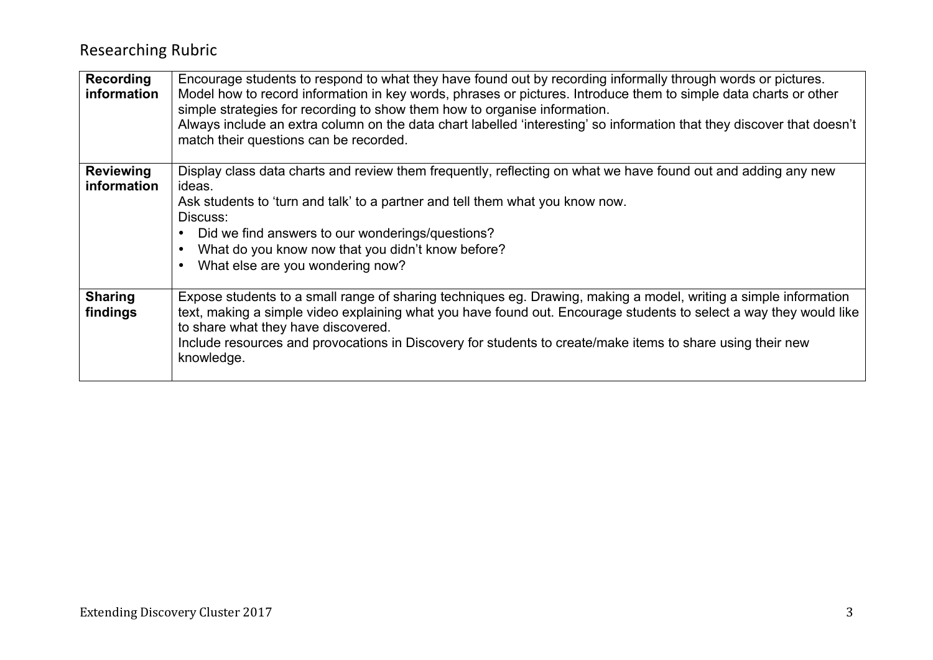| Recording<br>information        | Encourage students to respond to what they have found out by recording informally through words or pictures.<br>Model how to record information in key words, phrases or pictures. Introduce them to simple data charts or other<br>simple strategies for recording to show them how to organise information.<br>Always include an extra column on the data chart labelled 'interesting' so information that they discover that doesn't<br>match their questions can be recorded. |
|---------------------------------|-----------------------------------------------------------------------------------------------------------------------------------------------------------------------------------------------------------------------------------------------------------------------------------------------------------------------------------------------------------------------------------------------------------------------------------------------------------------------------------|
| <b>Reviewing</b><br>information | Display class data charts and review them frequently, reflecting on what we have found out and adding any new<br>ideas.<br>Ask students to 'turn and talk' to a partner and tell them what you know now.<br>Discuss:<br>Did we find answers to our wonderings/questions?<br>What do you know now that you didn't know before?<br>What else are you wondering now?                                                                                                                 |
| <b>Sharing</b><br>findings      | Expose students to a small range of sharing techniques eg. Drawing, making a model, writing a simple information<br>text, making a simple video explaining what you have found out. Encourage students to select a way they would like<br>to share what they have discovered.<br>Include resources and provocations in Discovery for students to create/make items to share using their new<br>knowledge.                                                                         |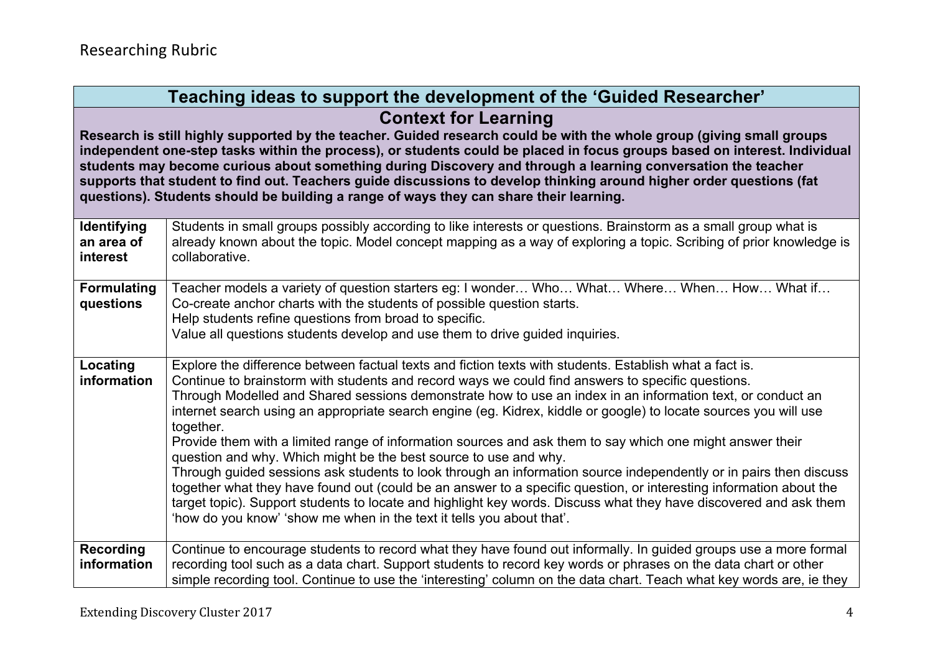| Teaching ideas to support the development of the 'Guided Researcher'                                                                                                                                                                                                                                                                                                                                                                                                                                                                                                                                                |                                                                                                                                                                                                                                                                                                                                                                                                                                                                                                                                                                                                                                                                                                                                                                                                                                                                                                                                                                                                                                                                                       |  |
|---------------------------------------------------------------------------------------------------------------------------------------------------------------------------------------------------------------------------------------------------------------------------------------------------------------------------------------------------------------------------------------------------------------------------------------------------------------------------------------------------------------------------------------------------------------------------------------------------------------------|---------------------------------------------------------------------------------------------------------------------------------------------------------------------------------------------------------------------------------------------------------------------------------------------------------------------------------------------------------------------------------------------------------------------------------------------------------------------------------------------------------------------------------------------------------------------------------------------------------------------------------------------------------------------------------------------------------------------------------------------------------------------------------------------------------------------------------------------------------------------------------------------------------------------------------------------------------------------------------------------------------------------------------------------------------------------------------------|--|
| <b>Context for Learning</b><br>Research is still highly supported by the teacher. Guided research could be with the whole group (giving small groups<br>independent one-step tasks within the process), or students could be placed in focus groups based on interest. Individual<br>students may become curious about something during Discovery and through a learning conversation the teacher<br>supports that student to find out. Teachers guide discussions to develop thinking around higher order questions (fat<br>questions). Students should be building a range of ways they can share their learning. |                                                                                                                                                                                                                                                                                                                                                                                                                                                                                                                                                                                                                                                                                                                                                                                                                                                                                                                                                                                                                                                                                       |  |
| <b>Identifying</b><br>an area of<br>interest                                                                                                                                                                                                                                                                                                                                                                                                                                                                                                                                                                        | Students in small groups possibly according to like interests or questions. Brainstorm as a small group what is<br>already known about the topic. Model concept mapping as a way of exploring a topic. Scribing of prior knowledge is<br>collaborative.                                                                                                                                                                                                                                                                                                                                                                                                                                                                                                                                                                                                                                                                                                                                                                                                                               |  |
| <b>Formulating</b><br>questions                                                                                                                                                                                                                                                                                                                                                                                                                                                                                                                                                                                     | Teacher models a variety of question starters eg: I wonder Who What Where When How What if<br>Co-create anchor charts with the students of possible question starts.<br>Help students refine questions from broad to specific.<br>Value all questions students develop and use them to drive guided inquiries.                                                                                                                                                                                                                                                                                                                                                                                                                                                                                                                                                                                                                                                                                                                                                                        |  |
| Locating<br>information                                                                                                                                                                                                                                                                                                                                                                                                                                                                                                                                                                                             | Explore the difference between factual texts and fiction texts with students. Establish what a fact is.<br>Continue to brainstorm with students and record ways we could find answers to specific questions.<br>Through Modelled and Shared sessions demonstrate how to use an index in an information text, or conduct an<br>internet search using an appropriate search engine (eg. Kidrex, kiddle or google) to locate sources you will use<br>together.<br>Provide them with a limited range of information sources and ask them to say which one might answer their<br>question and why. Which might be the best source to use and why.<br>Through guided sessions ask students to look through an information source independently or in pairs then discuss<br>together what they have found out (could be an answer to a specific question, or interesting information about the<br>target topic). Support students to locate and highlight key words. Discuss what they have discovered and ask them<br>'how do you know' 'show me when in the text it tells you about that'. |  |
| Recording<br>information                                                                                                                                                                                                                                                                                                                                                                                                                                                                                                                                                                                            | Continue to encourage students to record what they have found out informally. In guided groups use a more formal<br>recording tool such as a data chart. Support students to record key words or phrases on the data chart or other<br>simple recording tool. Continue to use the 'interesting' column on the data chart. Teach what key words are, ie they                                                                                                                                                                                                                                                                                                                                                                                                                                                                                                                                                                                                                                                                                                                           |  |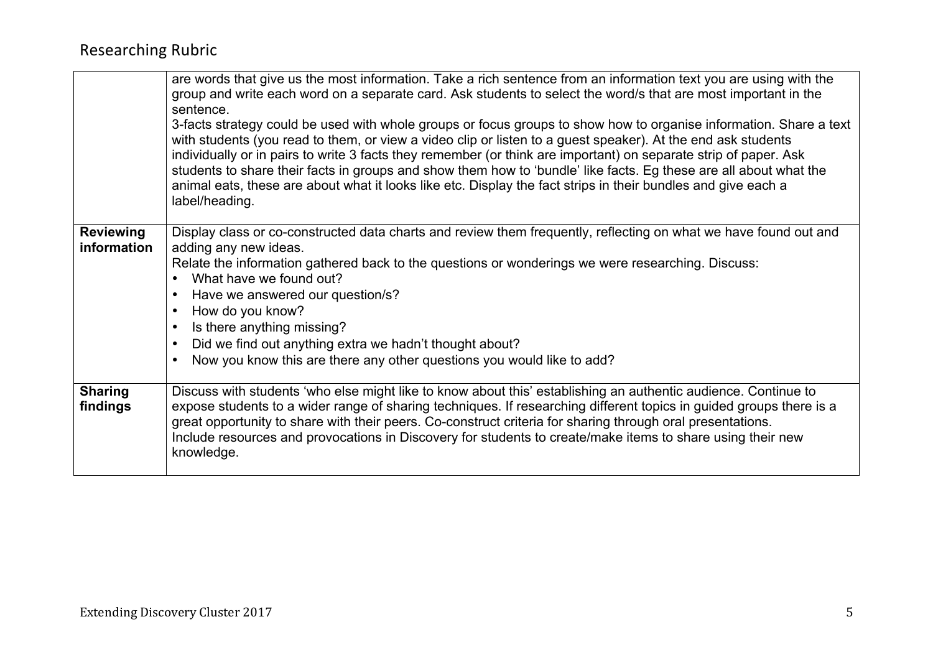|                                 | are words that give us the most information. Take a rich sentence from an information text you are using with the<br>group and write each word on a separate card. Ask students to select the word/s that are most important in the<br>sentence.<br>3-facts strategy could be used with whole groups or focus groups to show how to organise information. Share a text<br>with students (you read to them, or view a video clip or listen to a guest speaker). At the end ask students<br>individually or in pairs to write 3 facts they remember (or think are important) on separate strip of paper. Ask<br>students to share their facts in groups and show them how to 'bundle' like facts. Eg these are all about what the<br>animal eats, these are about what it looks like etc. Display the fact strips in their bundles and give each a<br>label/heading. |
|---------------------------------|--------------------------------------------------------------------------------------------------------------------------------------------------------------------------------------------------------------------------------------------------------------------------------------------------------------------------------------------------------------------------------------------------------------------------------------------------------------------------------------------------------------------------------------------------------------------------------------------------------------------------------------------------------------------------------------------------------------------------------------------------------------------------------------------------------------------------------------------------------------------|
| <b>Reviewing</b><br>information | Display class or co-constructed data charts and review them frequently, reflecting on what we have found out and<br>adding any new ideas.<br>Relate the information gathered back to the questions or wonderings we were researching. Discuss:<br>• What have we found out?<br>Have we answered our question/s?<br>$\bullet$<br>How do you know?<br>$\bullet$<br>Is there anything missing?<br>$\bullet$<br>Did we find out anything extra we hadn't thought about?<br>$\bullet$<br>Now you know this are there any other questions you would like to add?                                                                                                                                                                                                                                                                                                         |
| <b>Sharing</b><br>findings      | Discuss with students 'who else might like to know about this' establishing an authentic audience. Continue to<br>expose students to a wider range of sharing techniques. If researching different topics in guided groups there is a<br>great opportunity to share with their peers. Co-construct criteria for sharing through oral presentations.<br>Include resources and provocations in Discovery for students to create/make items to share using their new<br>knowledge.                                                                                                                                                                                                                                                                                                                                                                                    |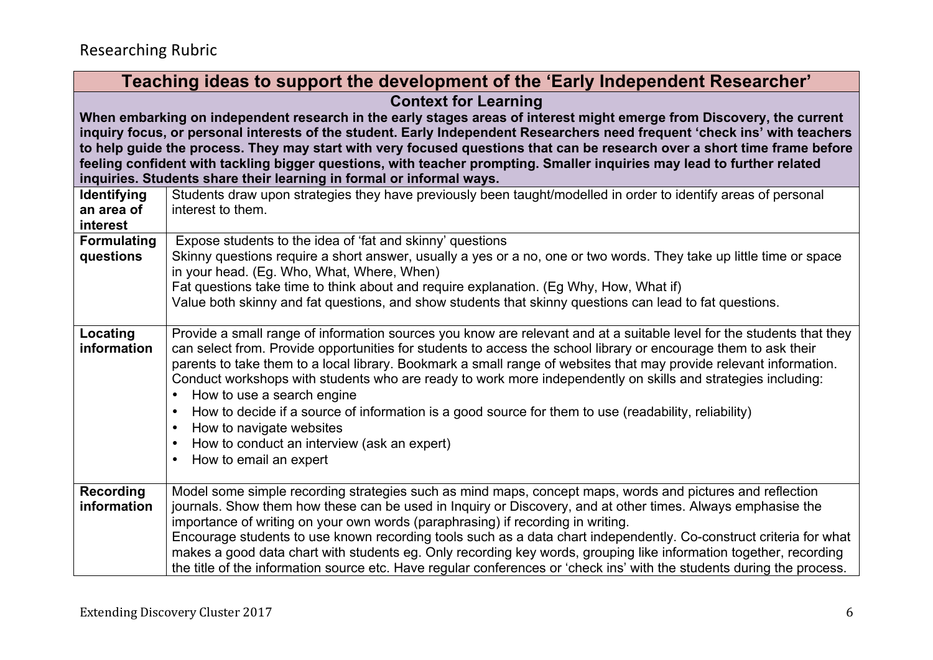| Teaching ideas to support the development of the 'Early Independent Researcher'                                                                                                                                                                      |  |  |
|------------------------------------------------------------------------------------------------------------------------------------------------------------------------------------------------------------------------------------------------------|--|--|
| <b>Context for Learning</b>                                                                                                                                                                                                                          |  |  |
| When embarking on independent research in the early stages areas of interest might emerge from Discovery, the current                                                                                                                                |  |  |
| inquiry focus, or personal interests of the student. Early Independent Researchers need frequent 'check ins' with teachers                                                                                                                           |  |  |
| to help guide the process. They may start with very focused questions that can be research over a short time frame before<br>feeling confident with tackling bigger questions, with teacher prompting. Smaller inquiries may lead to further related |  |  |
| inquiries. Students share their learning in formal or informal ways.                                                                                                                                                                                 |  |  |
| Students draw upon strategies they have previously been taught/modelled in order to identify areas of personal                                                                                                                                       |  |  |
| interest to them.                                                                                                                                                                                                                                    |  |  |
|                                                                                                                                                                                                                                                      |  |  |
| Expose students to the idea of 'fat and skinny' questions<br>Skinny questions require a short answer, usually a yes or a no, one or two words. They take up little time or space                                                                     |  |  |
| in your head. (Eg. Who, What, Where, When)                                                                                                                                                                                                           |  |  |
| Fat questions take time to think about and require explanation. (Eg Why, How, What if)                                                                                                                                                               |  |  |
| Value both skinny and fat questions, and show students that skinny questions can lead to fat questions.                                                                                                                                              |  |  |
|                                                                                                                                                                                                                                                      |  |  |
| Provide a small range of information sources you know are relevant and at a suitable level for the students that they<br>can select from. Provide opportunities for students to access the school library or encourage them to ask their             |  |  |
| parents to take them to a local library. Bookmark a small range of websites that may provide relevant information.                                                                                                                                   |  |  |
| Conduct workshops with students who are ready to work more independently on skills and strategies including:                                                                                                                                         |  |  |
| How to use a search engine<br>$\bullet$                                                                                                                                                                                                              |  |  |
| How to decide if a source of information is a good source for them to use (readability, reliability)<br>$\bullet$                                                                                                                                    |  |  |
| How to navigate websites<br>$\bullet$<br>How to conduct an interview (ask an expert)<br>$\bullet$                                                                                                                                                    |  |  |
| How to email an expert                                                                                                                                                                                                                               |  |  |
|                                                                                                                                                                                                                                                      |  |  |
| Model some simple recording strategies such as mind maps, concept maps, words and pictures and reflection                                                                                                                                            |  |  |
| journals. Show them how these can be used in Inquiry or Discovery, and at other times. Always emphasise the                                                                                                                                          |  |  |
| importance of writing on your own words (paraphrasing) if recording in writing.<br>Encourage students to use known recording tools such as a data chart independently. Co-construct criteria for what                                                |  |  |
| makes a good data chart with students eg. Only recording key words, grouping like information together, recording                                                                                                                                    |  |  |
| the title of the information source etc. Have regular conferences or 'check ins' with the students during the process.                                                                                                                               |  |  |
|                                                                                                                                                                                                                                                      |  |  |